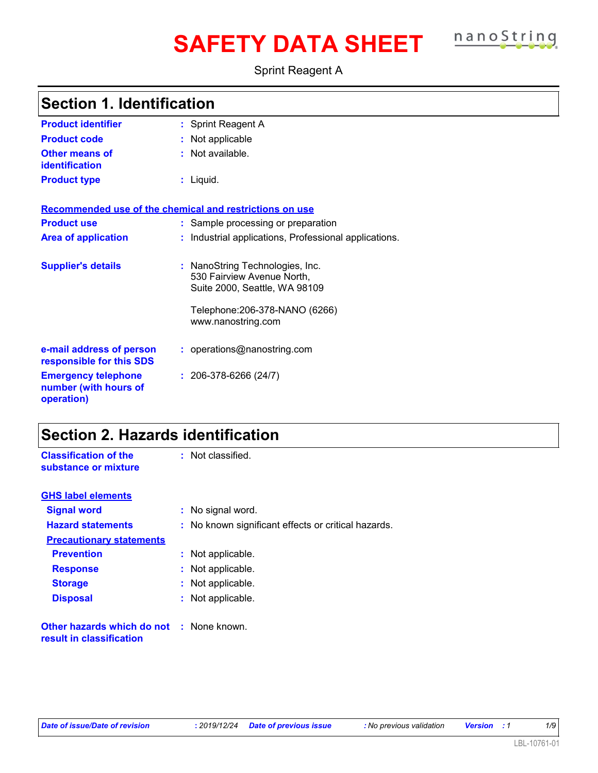# **SAFETY DATA SHEET nanoString**

Sprint Reagent A

|  |  | <b>Section 1. Identification</b> |  |
|--|--|----------------------------------|--|
|--|--|----------------------------------|--|

| <b>Product identifier</b>                                         | : Sprint Reagent A                                                                             |
|-------------------------------------------------------------------|------------------------------------------------------------------------------------------------|
| <b>Product code</b>                                               | : Not applicable                                                                               |
| <b>Other means of</b><br><b>identification</b>                    | : Not available.                                                                               |
| <b>Product type</b>                                               | : Liquid.                                                                                      |
| Recommended use of the chemical and restrictions on use           |                                                                                                |
| <b>Product use</b>                                                | : Sample processing or preparation                                                             |
| <b>Area of application</b>                                        | : Industrial applications, Professional applications.                                          |
| <b>Supplier's details</b>                                         | : NanoString Technologies, Inc.<br>530 Fairview Avenue North,<br>Suite 2000, Seattle, WA 98109 |
|                                                                   | Telephone: 206-378-NANO (6266)<br>www.nanostring.com                                           |
| e-mail address of person<br>responsible for this SDS              | : operations@nanostring.com                                                                    |
| <b>Emergency telephone</b><br>number (with hours of<br>operation) | $: 206-378-6266(24/7)$                                                                         |

### **Section 2. Hazards identification**

| <b>Classification of the</b><br>substance or mixture                        | : Not classified.                                   |
|-----------------------------------------------------------------------------|-----------------------------------------------------|
| <b>GHS label elements</b>                                                   |                                                     |
| <b>Signal word</b>                                                          | : No signal word.                                   |
| <b>Hazard statements</b>                                                    | : No known significant effects or critical hazards. |
| <b>Precautionary statements</b>                                             |                                                     |
| <b>Prevention</b>                                                           | : Not applicable.                                   |
| <b>Response</b>                                                             | : Not applicable.                                   |
| <b>Storage</b>                                                              | : Not applicable.                                   |
| <b>Disposal</b>                                                             | : Not applicable.                                   |
| <b>Other hazards which do not : None known.</b><br>result in classification |                                                     |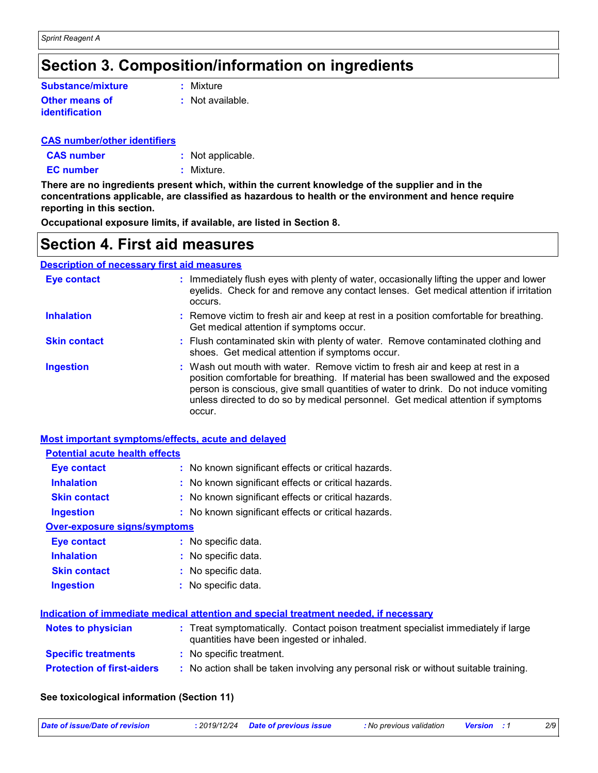### **Section 3. Composition/information on ingredients**

| <b>Substance/mixture</b> | : Mixture        |
|--------------------------|------------------|
| <b>Other means of</b>    | : Not available. |
| <b>identification</b>    |                  |

#### **CAS number/other identifiers**

| <b>CAS number</b> | : Not applicable. |
|-------------------|-------------------|
| <b>EC</b> number  | : Mixture.        |

**There are no ingredients present which, within the current knowledge of the supplier and in the concentrations applicable, are classified as hazardous to health or the environment and hence require reporting in this section.**

**Occupational exposure limits, if available, are listed in Section 8.**

### **Section 4. First aid measures**

#### **Description of necessary first aid measures**

| <b>Eye contact</b>  | : Immediately flush eyes with plenty of water, occasionally lifting the upper and lower<br>eyelids. Check for and remove any contact lenses. Get medical attention if irritation<br>occurs.                                                                                                                                                               |
|---------------------|-----------------------------------------------------------------------------------------------------------------------------------------------------------------------------------------------------------------------------------------------------------------------------------------------------------------------------------------------------------|
| <b>Inhalation</b>   | : Remove victim to fresh air and keep at rest in a position comfortable for breathing.<br>Get medical attention if symptoms occur.                                                                                                                                                                                                                        |
| <b>Skin contact</b> | : Flush contaminated skin with plenty of water. Remove contaminated clothing and<br>shoes. Get medical attention if symptoms occur.                                                                                                                                                                                                                       |
| <b>Ingestion</b>    | : Wash out mouth with water. Remove victim to fresh air and keep at rest in a<br>position comfortable for breathing. If material has been swallowed and the exposed<br>person is conscious, give small quantities of water to drink. Do not induce vomiting<br>unless directed to do so by medical personnel. Get medical attention if symptoms<br>occur. |

#### **Most important symptoms/effects, acute and delayed**

| <b>Potential acute health effects</b> |                                                                                                                                |
|---------------------------------------|--------------------------------------------------------------------------------------------------------------------------------|
| Eye contact                           | : No known significant effects or critical hazards.                                                                            |
| <b>Inhalation</b>                     | : No known significant effects or critical hazards.                                                                            |
| <b>Skin contact</b>                   | : No known significant effects or critical hazards.                                                                            |
| <b>Ingestion</b>                      | : No known significant effects or critical hazards.                                                                            |
| <b>Over-exposure signs/symptoms</b>   |                                                                                                                                |
| Eye contact                           | : No specific data.                                                                                                            |
| <b>Inhalation</b>                     | : No specific data.                                                                                                            |
| <b>Skin contact</b>                   | : No specific data.                                                                                                            |
| <b>Ingestion</b>                      | : No specific data.                                                                                                            |
|                                       | Indication of immediate medical attention and special treatment needed, if necessary                                           |
|                                       |                                                                                                                                |
| <b>Notes to physician</b>             | : Treat symptomatically. Contact poison treatment specialist immediately if large<br>quantities have been ingested or inhaled. |
| <b>Specific treatments</b>            | : No specific treatment.                                                                                                       |
| <b>Protection of first-aiders</b>     | : No action shall be taken involving any personal risk or without suitable training.                                           |
|                                       |                                                                                                                                |

#### **See toxicological information (Section 11)**

| Date of issue/Date of revision<br>: 2019/12/24 Date of previous issue<br>: No previous validation<br><b>Version</b> : 1 |  | 2/S |
|-------------------------------------------------------------------------------------------------------------------------|--|-----|
|-------------------------------------------------------------------------------------------------------------------------|--|-----|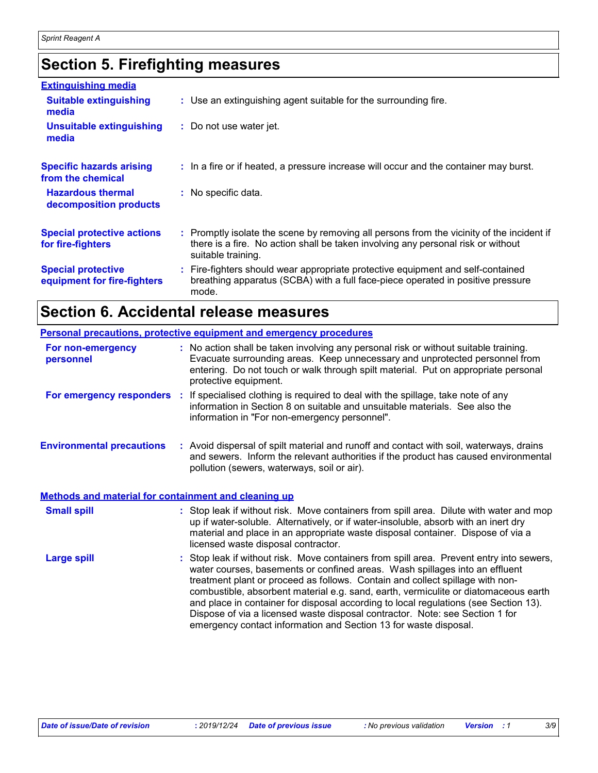### **Section 5. Firefighting measures**

| <b>Extinguishing media</b>                               |                                                                                                                                                                                                     |
|----------------------------------------------------------|-----------------------------------------------------------------------------------------------------------------------------------------------------------------------------------------------------|
| <b>Suitable extinguishing</b><br>media                   | : Use an extinguishing agent suitable for the surrounding fire.                                                                                                                                     |
| <b>Unsuitable extinguishing</b><br>media                 | : Do not use water jet.                                                                                                                                                                             |
| <b>Specific hazards arising</b><br>from the chemical     | : In a fire or if heated, a pressure increase will occur and the container may burst.                                                                                                               |
| <b>Hazardous thermal</b><br>decomposition products       | : No specific data.                                                                                                                                                                                 |
| <b>Special protective actions</b><br>for fire-fighters   | : Promptly isolate the scene by removing all persons from the vicinity of the incident if<br>there is a fire. No action shall be taken involving any personal risk or without<br>suitable training. |
| <b>Special protective</b><br>equipment for fire-fighters | : Fire-fighters should wear appropriate protective equipment and self-contained<br>breathing apparatus (SCBA) with a full face-piece operated in positive pressure<br>mode.                         |

### **Section 6. Accidental release measures**

|                                                      | Personal precautions, protective equipment and emergency procedures                                                                                                                                                                                                                                                                                                                                                                                                                                                                                                                         |
|------------------------------------------------------|---------------------------------------------------------------------------------------------------------------------------------------------------------------------------------------------------------------------------------------------------------------------------------------------------------------------------------------------------------------------------------------------------------------------------------------------------------------------------------------------------------------------------------------------------------------------------------------------|
| For non-emergency<br>personnel                       | : No action shall be taken involving any personal risk or without suitable training.<br>Evacuate surrounding areas. Keep unnecessary and unprotected personnel from<br>entering. Do not touch or walk through spilt material. Put on appropriate personal<br>protective equipment.                                                                                                                                                                                                                                                                                                          |
|                                                      | For emergency responders : If specialised clothing is required to deal with the spillage, take note of any<br>information in Section 8 on suitable and unsuitable materials. See also the<br>information in "For non-emergency personnel".                                                                                                                                                                                                                                                                                                                                                  |
| <b>Environmental precautions</b>                     | : Avoid dispersal of spilt material and runoff and contact with soil, waterways, drains<br>and sewers. Inform the relevant authorities if the product has caused environmental<br>pollution (sewers, waterways, soil or air).                                                                                                                                                                                                                                                                                                                                                               |
| Methods and material for containment and cleaning up |                                                                                                                                                                                                                                                                                                                                                                                                                                                                                                                                                                                             |
| <b>Small spill</b>                                   | : Stop leak if without risk. Move containers from spill area. Dilute with water and mop<br>up if water-soluble. Alternatively, or if water-insoluble, absorb with an inert dry<br>material and place in an appropriate waste disposal container. Dispose of via a<br>licensed waste disposal contractor.                                                                                                                                                                                                                                                                                    |
| <b>Large spill</b>                                   | : Stop leak if without risk. Move containers from spill area. Prevent entry into sewers,<br>water courses, basements or confined areas. Wash spillages into an effluent<br>treatment plant or proceed as follows. Contain and collect spillage with non-<br>combustible, absorbent material e.g. sand, earth, vermiculite or diatomaceous earth<br>and place in container for disposal according to local regulations (see Section 13).<br>Dispose of via a licensed waste disposal contractor. Note: see Section 1 for<br>emergency contact information and Section 13 for waste disposal. |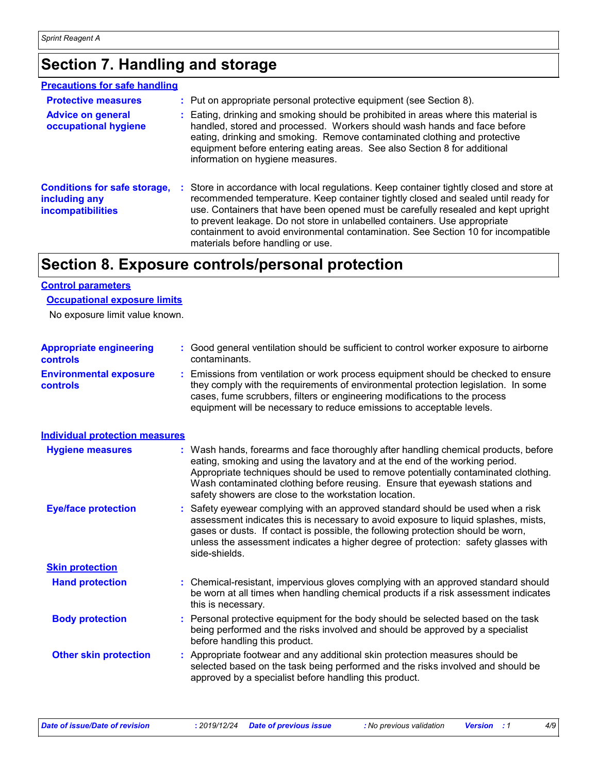### **Section 7. Handling and storage**

#### **Precautions for safe handling**

| <b>Protective measures</b><br><b>Advice on general</b><br>occupational hygiene   | : Put on appropriate personal protective equipment (see Section 8).<br>: Eating, drinking and smoking should be prohibited in areas where this material is<br>handled, stored and processed. Workers should wash hands and face before<br>eating, drinking and smoking. Remove contaminated clothing and protective<br>equipment before entering eating areas. See also Section 8 for additional<br>information on hygiene measures.                                       |
|----------------------------------------------------------------------------------|----------------------------------------------------------------------------------------------------------------------------------------------------------------------------------------------------------------------------------------------------------------------------------------------------------------------------------------------------------------------------------------------------------------------------------------------------------------------------|
| <b>Conditions for safe storage,</b><br>including any<br><b>incompatibilities</b> | : Store in accordance with local regulations. Keep container tightly closed and store at<br>recommended temperature. Keep container tightly closed and sealed until ready for<br>use. Containers that have been opened must be carefully resealed and kept upright<br>to prevent leakage. Do not store in unlabelled containers. Use appropriate<br>containment to avoid environmental contamination. See Section 10 for incompatible<br>materials before handling or use. |

### **Section 8. Exposure controls/personal protection**

#### **Control parameters**

#### **Occupational exposure limits**

No exposure limit value known.

| <b>Appropriate engineering</b><br>controls | : Good general ventilation should be sufficient to control worker exposure to airborne<br>contaminants.                                                                                                                                                                                                                                                                                           |  |
|--------------------------------------------|---------------------------------------------------------------------------------------------------------------------------------------------------------------------------------------------------------------------------------------------------------------------------------------------------------------------------------------------------------------------------------------------------|--|
| <b>Environmental exposure</b><br>controls  | : Emissions from ventilation or work process equipment should be checked to ensure<br>they comply with the requirements of environmental protection legislation. In some<br>cases, fume scrubbers, filters or engineering modifications to the process<br>equipment will be necessary to reduce emissions to acceptable levels.                                                                   |  |
| <b>Individual protection measures</b>      |                                                                                                                                                                                                                                                                                                                                                                                                   |  |
| <b>Hygiene measures</b>                    | : Wash hands, forearms and face thoroughly after handling chemical products, before<br>eating, smoking and using the lavatory and at the end of the working period.<br>Appropriate techniques should be used to remove potentially contaminated clothing.<br>Wash contaminated clothing before reusing. Ensure that eyewash stations and<br>safety showers are close to the workstation location. |  |
| <b>Eye/face protection</b>                 | : Safety eyewear complying with an approved standard should be used when a risk<br>assessment indicates this is necessary to avoid exposure to liquid splashes, mists,<br>gases or dusts. If contact is possible, the following protection should be worn,<br>unless the assessment indicates a higher degree of protection: safety glasses with<br>side-shields.                                 |  |
| <b>Skin protection</b>                     |                                                                                                                                                                                                                                                                                                                                                                                                   |  |
| <b>Hand protection</b>                     | : Chemical-resistant, impervious gloves complying with an approved standard should<br>be worn at all times when handling chemical products if a risk assessment indicates<br>this is necessary.                                                                                                                                                                                                   |  |
| <b>Body protection</b>                     | : Personal protective equipment for the body should be selected based on the task<br>being performed and the risks involved and should be approved by a specialist<br>before handling this product.                                                                                                                                                                                               |  |
| <b>Other skin protection</b>               | : Appropriate footwear and any additional skin protection measures should be<br>selected based on the task being performed and the risks involved and should be<br>approved by a specialist before handling this product.                                                                                                                                                                         |  |
|                                            |                                                                                                                                                                                                                                                                                                                                                                                                   |  |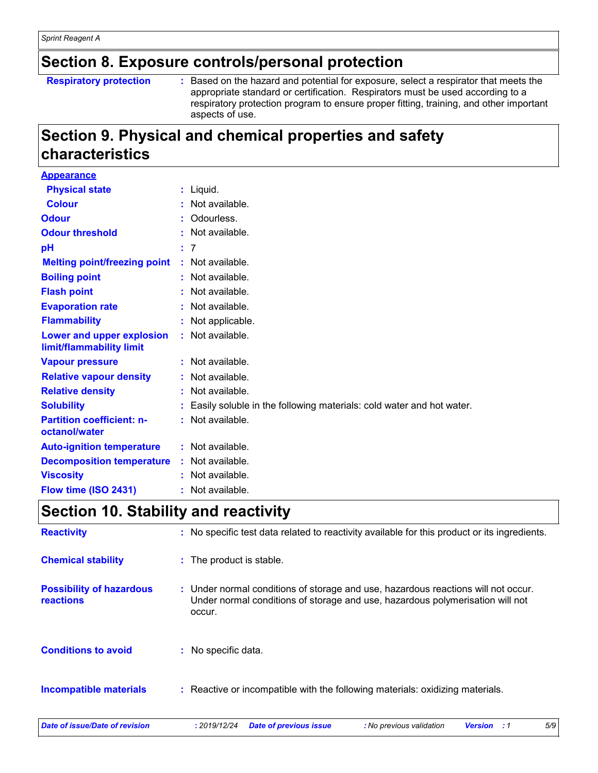### **Section 8. Exposure controls/personal protection**

#### **Respiratory protection :**

Based on the hazard and potential for exposure, select a respirator that meets the appropriate standard or certification. Respirators must be used according to a respiratory protection program to ensure proper fitting, training, and other important aspects of use.

### **Section 9. Physical and chemical properties and safety characteristics**

| <b>Appearance</b>                                     |                                                                        |
|-------------------------------------------------------|------------------------------------------------------------------------|
| <b>Physical state</b>                                 | $:$ Liquid.                                                            |
| <b>Colour</b>                                         | : Not available.                                                       |
| <b>Odour</b>                                          | Odourless.                                                             |
| <b>Odour threshold</b>                                | : Not available.                                                       |
| рH                                                    | : 7                                                                    |
| <b>Melting point/freezing point</b>                   | : Not available.                                                       |
| <b>Boiling point</b>                                  | $:$ Not available.                                                     |
| <b>Flash point</b>                                    | $:$ Not available.                                                     |
| <b>Evaporation rate</b>                               | : Not available.                                                       |
| <b>Flammability</b>                                   | : Not applicable.                                                      |
| Lower and upper explosion<br>limit/flammability limit | $:$ Not available.                                                     |
| <b>Vapour pressure</b>                                | $:$ Not available.                                                     |
| <b>Relative vapour density</b>                        | : Not available.                                                       |
| <b>Relative density</b>                               | : Not available.                                                       |
| <b>Solubility</b>                                     | : Easily soluble in the following materials: cold water and hot water. |
| <b>Partition coefficient: n-</b><br>octanol/water     | : Not available.                                                       |
| <b>Auto-ignition temperature</b>                      | $:$ Not available.                                                     |
| <b>Decomposition temperature</b>                      | : Not available.                                                       |
| <b>Viscosity</b>                                      | Not available.                                                         |
| Flow time (ISO 2431)                                  | : Not available.                                                       |

### **Section 10. Stability and reactivity**

| <b>Reactivity</b>                            | : No specific test data related to reactivity available for this product or its ingredients.                                                                                 |  |  |  |  |
|----------------------------------------------|------------------------------------------------------------------------------------------------------------------------------------------------------------------------------|--|--|--|--|
| <b>Chemical stability</b>                    | : The product is stable.                                                                                                                                                     |  |  |  |  |
| <b>Possibility of hazardous</b><br>reactions | : Under normal conditions of storage and use, hazardous reactions will not occur.<br>Under normal conditions of storage and use, hazardous polymerisation will not<br>occur. |  |  |  |  |
| <b>Conditions to avoid</b>                   | No specific data.                                                                                                                                                            |  |  |  |  |
| <b>Incompatible materials</b>                | : Reactive or incompatible with the following materials: oxidizing materials.                                                                                                |  |  |  |  |
| Date of issue/Date of revision               | 5/9<br>: 2019/12/24<br><b>Date of previous issue</b><br>: No previous validation<br><b>Version</b><br>: 1                                                                    |  |  |  |  |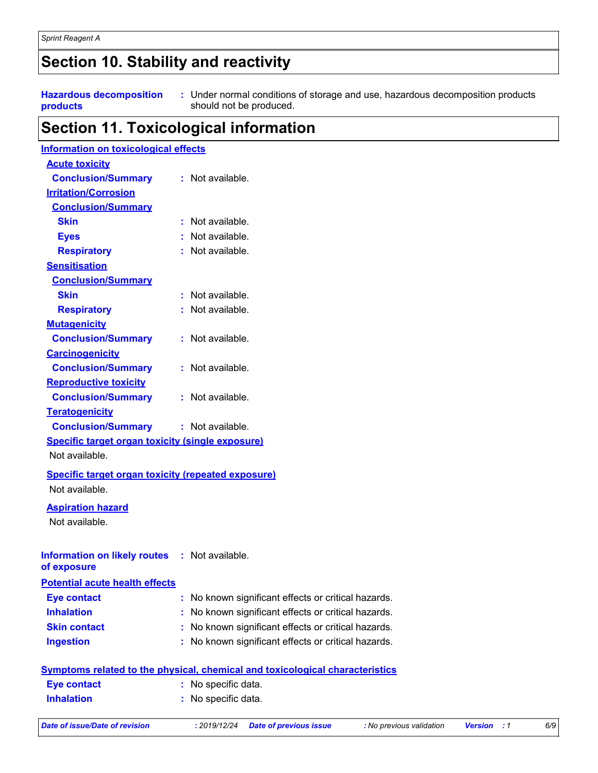### **Section 10. Stability and reactivity**

**Hazardous decomposition products**

Under normal conditions of storage and use, hazardous decomposition products **:** should not be produced.

### **Section 11. Toxicological information**

| <b>Information on toxicological effects</b>                  |   |                                                                                     |
|--------------------------------------------------------------|---|-------------------------------------------------------------------------------------|
| <b>Acute toxicity</b>                                        |   |                                                                                     |
| <b>Conclusion/Summary</b>                                    |   | : Not available.                                                                    |
| <b>Irritation/Corrosion</b>                                  |   |                                                                                     |
| <b>Conclusion/Summary</b>                                    |   |                                                                                     |
| <b>Skin</b>                                                  |   | : Not available.                                                                    |
| <b>Eyes</b>                                                  |   | Not available.                                                                      |
| <b>Respiratory</b>                                           |   | : Not available.                                                                    |
| <b>Sensitisation</b>                                         |   |                                                                                     |
| <b>Conclusion/Summary</b>                                    |   |                                                                                     |
| <b>Skin</b>                                                  |   | : Not available.                                                                    |
| <b>Respiratory</b>                                           |   | : Not available.                                                                    |
| <b>Mutagenicity</b>                                          |   |                                                                                     |
| <b>Conclusion/Summary</b>                                    |   | : Not available.                                                                    |
| <b>Carcinogenicity</b>                                       |   |                                                                                     |
| <b>Conclusion/Summary</b>                                    |   | : Not available.                                                                    |
| <b>Reproductive toxicity</b>                                 |   |                                                                                     |
| <b>Conclusion/Summary</b>                                    |   | : Not available.                                                                    |
| <b>Teratogenicity</b>                                        |   |                                                                                     |
| <b>Conclusion/Summary</b>                                    |   | : Not available.                                                                    |
| <b>Specific target organ toxicity (single exposure)</b>      |   |                                                                                     |
| Not available.                                               |   |                                                                                     |
| <b>Specific target organ toxicity (repeated exposure)</b>    |   |                                                                                     |
| Not available.                                               |   |                                                                                     |
| <b>Aspiration hazard</b>                                     |   |                                                                                     |
| Not available.                                               |   |                                                                                     |
|                                                              |   |                                                                                     |
|                                                              |   |                                                                                     |
| Information on likely routes : Not available.<br>of exposure |   |                                                                                     |
| <b>Potential acute health effects</b>                        |   |                                                                                     |
| <b>Eye contact</b>                                           | ÷ | No known significant effects or critical hazards.                                   |
| <b>Inhalation</b>                                            |   | No known significant effects or critical hazards.                                   |
| <b>Skin contact</b>                                          |   | No known significant effects or critical hazards.                                   |
| <b>Ingestion</b>                                             |   | No known significant effects or critical hazards.                                   |
|                                                              |   |                                                                                     |
|                                                              |   | <b>Symptoms related to the physical, chemical and toxicological characteristics</b> |
| <b>Eye contact</b>                                           |   | No specific data.                                                                   |
| <b>Inhalation</b>                                            |   | No specific data.                                                                   |

*Date of issue/Date of revision* **:** *2019/12/24 Date of previous issue : No previous validation Version : 1 6/9*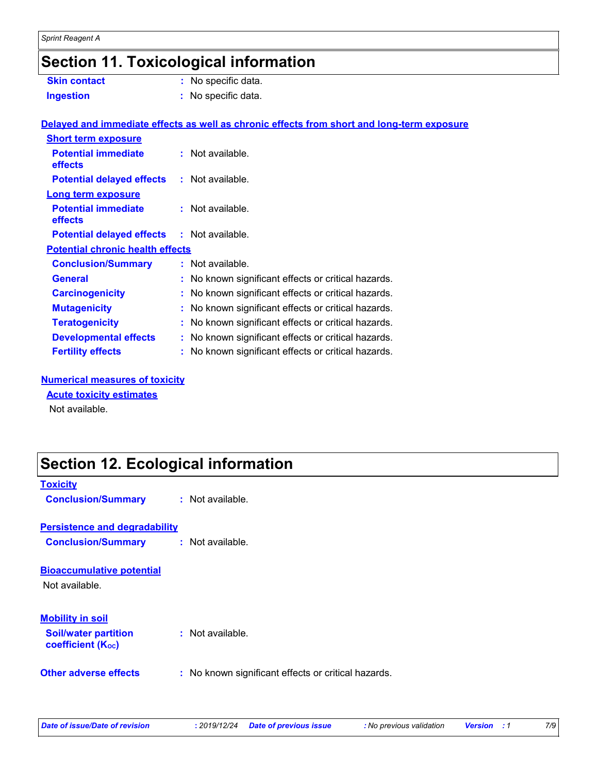## **Section 11. Toxicological information**

| <b>Skin contact</b>                               | : No specific data.                                                                        |  |
|---------------------------------------------------|--------------------------------------------------------------------------------------------|--|
| <b>Ingestion</b>                                  | : No specific data.                                                                        |  |
|                                                   | Delayed and immediate effects as well as chronic effects from short and long-term exposure |  |
| <b>Short term exposure</b>                        |                                                                                            |  |
| <b>Potential immediate</b><br>effects             | $:$ Not available.                                                                         |  |
| <b>Potential delayed effects</b>                  | $:$ Not available.                                                                         |  |
| <b>Long term exposure</b>                         |                                                                                            |  |
| <b>Potential immediate</b><br>effects             | : Not available.                                                                           |  |
| <b>Potential delayed effects : Not available.</b> |                                                                                            |  |
| <b>Potential chronic health effects</b>           |                                                                                            |  |
| <b>Conclusion/Summary</b>                         | : Not available.                                                                           |  |
| <b>General</b>                                    | : No known significant effects or critical hazards.                                        |  |
| <b>Carcinogenicity</b>                            | : No known significant effects or critical hazards.                                        |  |
| <b>Mutagenicity</b>                               | : No known significant effects or critical hazards.                                        |  |
| <b>Teratogenicity</b>                             | : No known significant effects or critical hazards.                                        |  |
| <b>Developmental effects</b>                      | : No known significant effects or critical hazards.                                        |  |
| <b>Fertility effects</b>                          | : No known significant effects or critical hazards.                                        |  |

#### **Numerical measures of toxicity**

#### **Acute toxicity estimates**

Not available.

### **Section 12. Ecological information**

| <b>Toxicity</b><br><b>Conclusion/Summary</b>                      | $\therefore$ Not available.                         |
|-------------------------------------------------------------------|-----------------------------------------------------|
|                                                                   |                                                     |
| <b>Persistence and degradability</b><br><b>Conclusion/Summary</b> | : Not available.                                    |
|                                                                   |                                                     |
| <b>Bioaccumulative potential</b>                                  |                                                     |
| Not available.                                                    |                                                     |
|                                                                   |                                                     |
| <b>Mobility in soil</b><br><b>Soil/water partition</b>            | $:$ Not available.                                  |
| <b>coefficient (Koc)</b>                                          |                                                     |
| Other adverse effects                                             | : No known significant effects or critical hazards. |
|                                                                   |                                                     |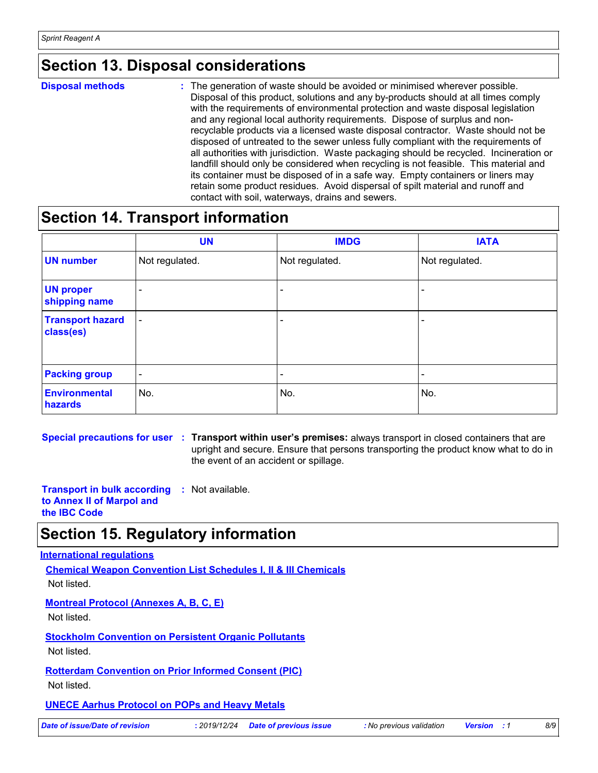### **Section 13. Disposal considerations**

**Disposal methods :**

The generation of waste should be avoided or minimised wherever possible. Disposal of this product, solutions and any by-products should at all times comply with the requirements of environmental protection and waste disposal legislation and any regional local authority requirements. Dispose of surplus and nonrecyclable products via a licensed waste disposal contractor. Waste should not be disposed of untreated to the sewer unless fully compliant with the requirements of all authorities with jurisdiction. Waste packaging should be recycled. Incineration or landfill should only be considered when recycling is not feasible. This material and its container must be disposed of in a safe way. Empty containers or liners may retain some product residues. Avoid dispersal of spilt material and runoff and contact with soil, waterways, drains and sewers.

#### **Section 14. Transport information**

|                                      | <b>UN</b>                | <b>IMDG</b>              | <b>IATA</b>    |
|--------------------------------------|--------------------------|--------------------------|----------------|
| <b>UN number</b>                     | Not regulated.           | Not regulated.           | Not regulated. |
| <b>UN proper</b><br>shipping name    | $\qquad \qquad$          |                          |                |
| <b>Transport hazard</b><br>class(es) | $\overline{\phantom{a}}$ | $\overline{\phantom{0}}$ |                |
| <b>Packing group</b>                 | $\overline{\phantom{a}}$ | $\overline{\phantom{0}}$ | -              |
| <b>Environmental</b><br>hazards      | No.                      | No.                      | No.            |

**Special precautions for user Transport within user's premises:** always transport in closed containers that are **:** upright and secure. Ensure that persons transporting the product know what to do in the event of an accident or spillage.

**Transport in bulk according :** Not available. **to Annex II of Marpol and the IBC Code**

### **Section 15. Regulatory information**

#### **International regulations**

**Chemical Weapon Convention List Schedules I, II & III Chemicals** Not listed.

**Montreal Protocol (Annexes A, B, C, E)**

Not listed.

**Stockholm Convention on Persistent Organic Pollutants** Not listed.

**Rotterdam Convention on Prior Informed Consent (PIC)**

Not listed.

#### **UNECE Aarhus Protocol on POPs and Heavy Metals**

*Date of issue/Date of revision* **:** *2019/12/24 Date of previous issue : No previous validation Version : 1 8/9*